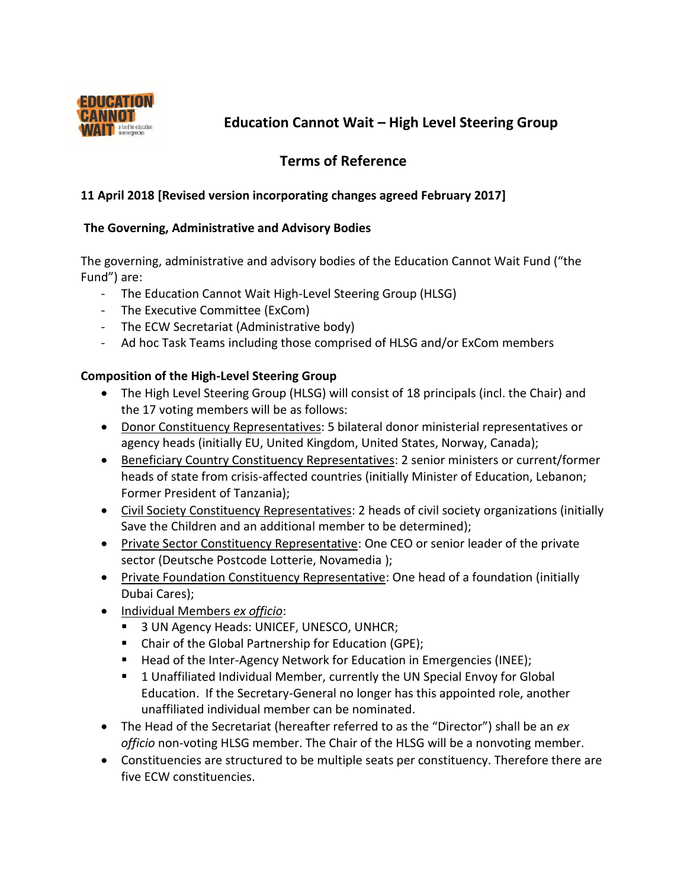

# **Education Cannot Wait – High Level Steering Group**

# **Terms of Reference**

# **11 April 2018 [Revised version incorporating changes agreed February 2017]**

### **The Governing, Administrative and Advisory Bodies**

The governing, administrative and advisory bodies of the Education Cannot Wait Fund ("the Fund") are:

- The Education Cannot Wait High-Level Steering Group (HLSG)
- The Executive Committee (ExCom)
- The ECW Secretariat (Administrative body)
- Ad hoc Task Teams including those comprised of HLSG and/or ExCom members

# **Composition of the High-Level Steering Group**

- The High Level Steering Group (HLSG) will consist of 18 principals (incl. the Chair) and the 17 voting members will be as follows:
- Donor Constituency Representatives: 5 bilateral donor ministerial representatives or agency heads (initially EU, United Kingdom, United States, Norway, Canada);
- Beneficiary Country Constituency Representatives: 2 senior ministers or current/former heads of state from crisis-affected countries (initially Minister of Education, Lebanon; Former President of Tanzania);
- Civil Society Constituency Representatives: 2 heads of civil society organizations (initially Save the Children and an additional member to be determined);
- Private Sector Constituency Representative: One CEO or senior leader of the private sector (Deutsche Postcode Lotterie, Novamedia );
- Private Foundation Constituency Representative: One head of a foundation (initially Dubai Cares);
- Individual Members *ex officio*:
	- 3 UN Agency Heads: UNICEF, UNESCO, UNHCR;
	- Chair of the Global Partnership for Education (GPE);
	- Head of the Inter-Agency Network for Education in Emergencies (INEE);
	- 1 Unaffiliated Individual Member, currently the UN Special Envoy for Global Education. If the Secretary-General no longer has this appointed role, another unaffiliated individual member can be nominated.
- The Head of the Secretariat (hereafter referred to as the "Director") shall be an *ex officio* non-voting HLSG member. The Chair of the HLSG will be a nonvoting member.
- Constituencies are structured to be multiple seats per constituency. Therefore there are five ECW constituencies.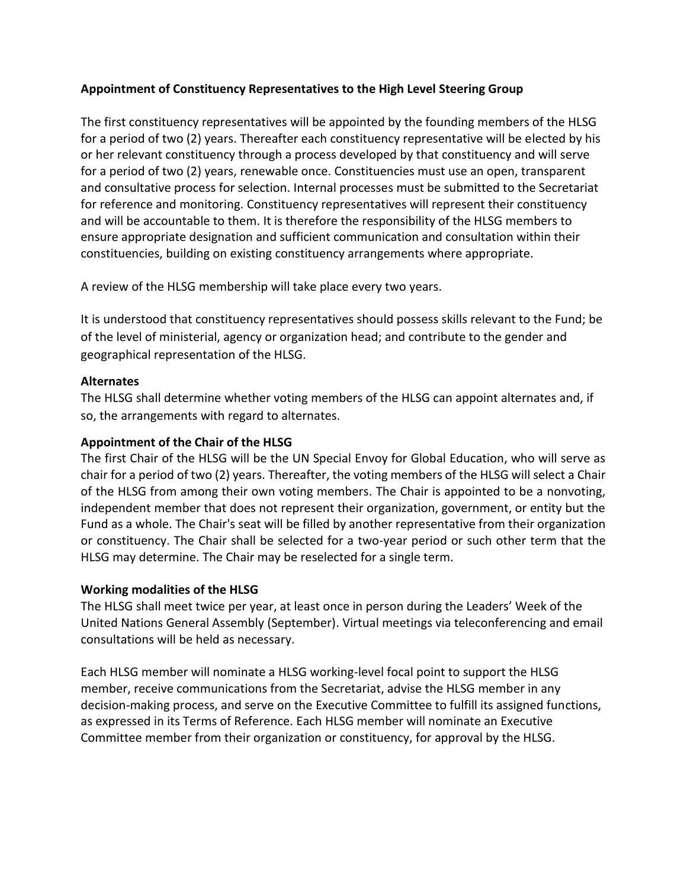### **Appointment of Constituency Representatives to the High Level Steering Group**

The first constituency representatives will be appointed by the founding members of the HLSG for a period of two (2) years. Thereafter each constituency representative will be elected by his or her relevant constituency through a process developed by that constituency and will serve for a period of two (2) years, renewable once. Constituencies must use an open, transparent and consultative process for selection. Internal processes must be submitted to the Secretariat for reference and monitoring. Constituency representatives will represent their constituency and will be accountable to them. It is therefore the responsibility of the HLSG members to ensure appropriate designation and sufficient communication and consultation within their constituencies, building on existing constituency arrangements where appropriate.

A review of the HLSG membership will take place every two years.

It is understood that constituency representatives should possess skills relevant to the Fund; be of the level of ministerial, agency or organization head; and contribute to the gender and geographical representation of the HLSG.

### **Alternates**

The HLSG shall determine whether voting members of the HLSG can appoint alternates and, if so, the arrangements with regard to alternates.

### **Appointment of the Chair of the HLSG**

The first Chair of the HLSG will be the UN Special Envoy for Global Education, who will serve as chair for a period of two (2) years. Thereafter, the voting members of the HLSG will select a Chair of the HLSG from among their own voting members. The Chair is appointed to be a nonvoting, independent member that does not represent their organization, government, or entity but the Fund as a whole. The Chair's seat will be filled by another representative from their organization or constituency. The Chair shall be selected for a two-year period or such other term that the HLSG may determine. The Chair may be reselected for a single term.

#### **Working modalities of the HLSG**

The HLSG shall meet twice per year, at least once in person during the Leaders' Week of the United Nations General Assembly (September). Virtual meetings via teleconferencing and email consultations will be held as necessary.

Each HLSG member will nominate a HLSG working-level focal point to support the HLSG member, receive communications from the Secretariat, advise the HLSG member in any decision-making process, and serve on the Executive Committee to fulfill its assigned functions, as expressed in its Terms of Reference. Each HLSG member will nominate an Executive Committee member from their organization or constituency, for approval by the HLSG.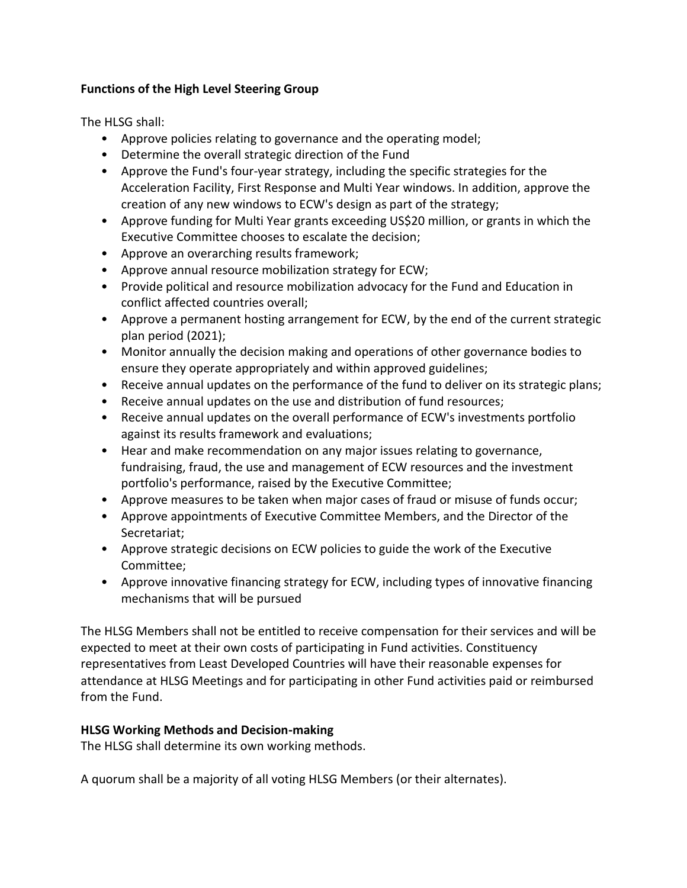# **Functions of the High Level Steering Group**

The HLSG shall:

- Approve policies relating to governance and the operating model;
- Determine the overall strategic direction of the Fund
- Approve the Fund's four-year strategy, including the specific strategies for the Acceleration Facility, First Response and Multi Year windows. In addition, approve the creation of any new windows to ECW's design as part of the strategy;
- Approve funding for Multi Year grants exceeding US\$20 million, or grants in which the Executive Committee chooses to escalate the decision;
- Approve an overarching results framework;
- Approve annual resource mobilization strategy for ECW;
- Provide political and resource mobilization advocacy for the Fund and Education in conflict affected countries overall;
- Approve a permanent hosting arrangement for ECW, by the end of the current strategic plan period (2021);
- Monitor annually the decision making and operations of other governance bodies to ensure they operate appropriately and within approved guidelines;
- Receive annual updates on the performance of the fund to deliver on its strategic plans;
- Receive annual updates on the use and distribution of fund resources;
- Receive annual updates on the overall performance of ECW's investments portfolio against its results framework and evaluations;
- Hear and make recommendation on any major issues relating to governance, fundraising, fraud, the use and management of ECW resources and the investment portfolio's performance, raised by the Executive Committee;
- Approve measures to be taken when major cases of fraud or misuse of funds occur;
- Approve appointments of Executive Committee Members, and the Director of the Secretariat;
- Approve strategic decisions on ECW policies to guide the work of the Executive Committee;
- Approve innovative financing strategy for ECW, including types of innovative financing mechanisms that will be pursued

The HLSG Members shall not be entitled to receive compensation for their services and will be expected to meet at their own costs of participating in Fund activities. Constituency representatives from Least Developed Countries will have their reasonable expenses for attendance at HLSG Meetings and for participating in other Fund activities paid or reimbursed from the Fund.

# **HLSG Working Methods and Decision-making**

The HLSG shall determine its own working methods.

A quorum shall be a majority of all voting HLSG Members (or their alternates).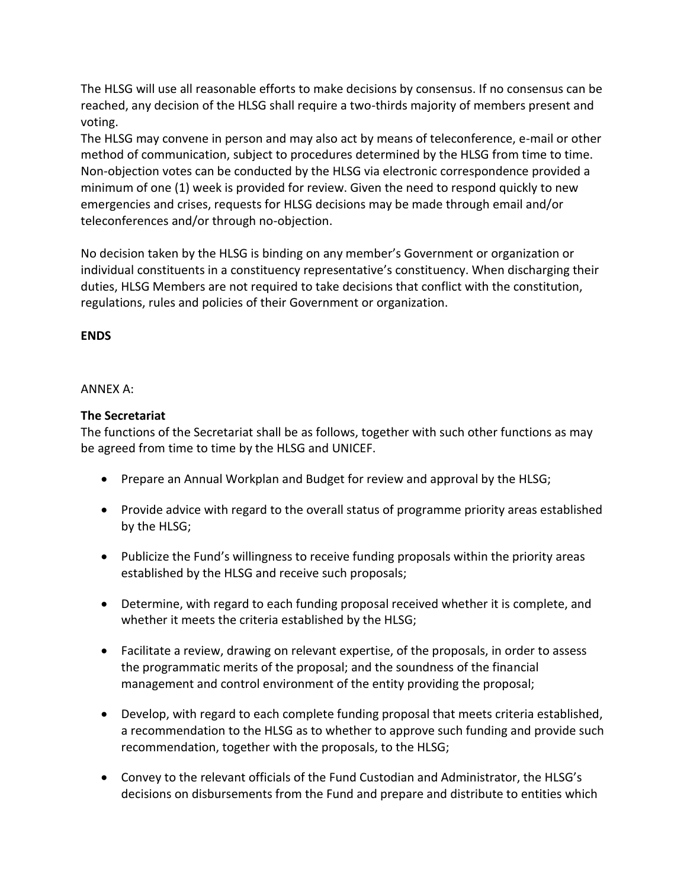The HLSG will use all reasonable efforts to make decisions by consensus. If no consensus can be reached, any decision of the HLSG shall require a two-thirds majority of members present and voting.

The HLSG may convene in person and may also act by means of teleconference, e-mail or other method of communication, subject to procedures determined by the HLSG from time to time. Non-objection votes can be conducted by the HLSG via electronic correspondence provided a minimum of one (1) week is provided for review. Given the need to respond quickly to new emergencies and crises, requests for HLSG decisions may be made through email and/or teleconferences and/or through no-objection.

No decision taken by the HLSG is binding on any member's Government or organization or individual constituents in a constituency representative's constituency. When discharging their duties, HLSG Members are not required to take decisions that conflict with the constitution, regulations, rules and policies of their Government or organization.

# **ENDS**

### ANNEX A:

# **The Secretariat**

The functions of the Secretariat shall be as follows, together with such other functions as may be agreed from time to time by the HLSG and UNICEF.

- Prepare an Annual Workplan and Budget for review and approval by the HLSG;
- Provide advice with regard to the overall status of programme priority areas established by the HLSG;
- Publicize the Fund's willingness to receive funding proposals within the priority areas established by the HLSG and receive such proposals;
- Determine, with regard to each funding proposal received whether it is complete, and whether it meets the criteria established by the HLSG;
- Facilitate a review, drawing on relevant expertise, of the proposals, in order to assess the programmatic merits of the proposal; and the soundness of the financial management and control environment of the entity providing the proposal;
- Develop, with regard to each complete funding proposal that meets criteria established, a recommendation to the HLSG as to whether to approve such funding and provide such recommendation, together with the proposals, to the HLSG;
- Convey to the relevant officials of the Fund Custodian and Administrator, the HLSG's decisions on disbursements from the Fund and prepare and distribute to entities which